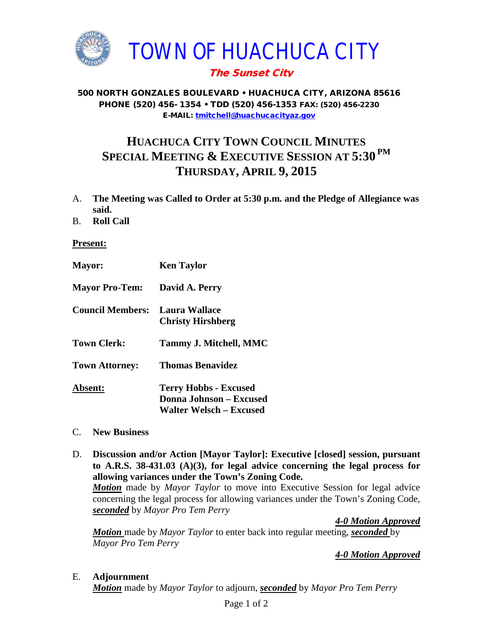

## The Sunset City

500 NORTH GONZALES BOULEVARD • HUACHUCA CITY, ARIZONA 85616 PHONE (520) 456- 1354 • TDD (520) 456-1353 FAX: (520) 456-2230 E-MAIL: [tmitchell@huachucacityaz.gov](mailto:tmitchell@huachucacityaz.gov)

## **HUACHUCA CITY TOWN COUNCIL MINUTES SPECIAL MEETING & EXECUTIVE SESSION AT 5:30 PM THURSDAY, APRIL 9, 2015**

- A. **The Meeting was Called to Order at 5:30 p.m. and the Pledge of Allegiance was said.**
- B. **Roll Call**

## **Present:**

| <b>Mayor:</b>           | <b>Ken Taylor</b>                                                                                |
|-------------------------|--------------------------------------------------------------------------------------------------|
| <b>Mayor Pro-Tem:</b>   | David A. Perry                                                                                   |
| <b>Council Members:</b> | Laura Wallace<br><b>Christy Hirshberg</b>                                                        |
| <b>Town Clerk:</b>      | Tammy J. Mitchell, MMC                                                                           |
| <b>Town Attorney:</b>   | <b>Thomas Benavidez</b>                                                                          |
| <b>Absent:</b>          | <b>Terry Hobbs - Excused</b><br><b>Donna Johnson - Excused</b><br><b>Walter Welsch – Excused</b> |

- C. **New Business**
- D. **Discussion and/or Action [Mayor Taylor]: Executive [closed] session, pursuant to A.R.S. 38-431.03 (A)(3), for legal advice concerning the legal process for allowing variances under the Town's Zoning Code.**

*Motion* made by *Mayor Taylor* to move into Executive Session for legal advice concerning the legal process for allowing variances under the Town's Zoning Code, *seconded* by *Mayor Pro Tem Perry*

*4-0 Motion Approved*

*Motion* made by *Mayor Taylor* to enter back into regular meeting, *seconded* by *Mayor Pro Tem Perry*

*4-0 Motion Approved* 

## E. **Adjournment**

*Motion* made by *Mayor Taylor* to adjourn, *seconded* by *Mayor Pro Tem Perry*